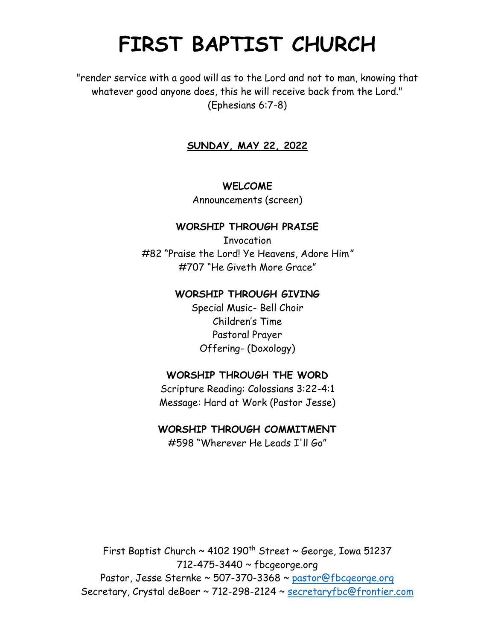# **FIRST BAPTIST CHURCH**

"render service with a good will as to the Lord and not to man, knowing that whatever good anyone does, this he will receive back from the Lord." (Ephesians 6:7-8)

# **SUNDAY, MAY 22, 2022**

#### **WELCOME**

Announcements (screen)

#### **WORSHIP THROUGH PRAISE**

**Invocation** #82 "Praise the Lord! Ye Heavens, Adore Him*"* #707 "He Giveth More Grace"

#### **WORSHIP THROUGH GIVING**

Special Music- Bell Choir Children's Time Pastoral Prayer Offering- (Doxology)

## **WORSHIP THROUGH THE WORD**

Scripture Reading: Colossians 3:22-4:1 Message: Hard at Work (Pastor Jesse)

## **WORSHIP THROUGH COMMITMENT**

#598 "Wherever He Leads I'll Go"

First Baptist Church  $\sim$  4102 190<sup>th</sup> Street  $\sim$  George, Iowa 51237 712-475-3440 ~ fbcgeorge.org Pastor, Jesse Sternke ~ 507-370-3368 ~ pastor@fbcgeorge.org Secretary, Crystal deBoer ~ 712-298-2124 ~ [secretaryfbc@frontier.com](mailto:secretaryfbc@frontier.com)